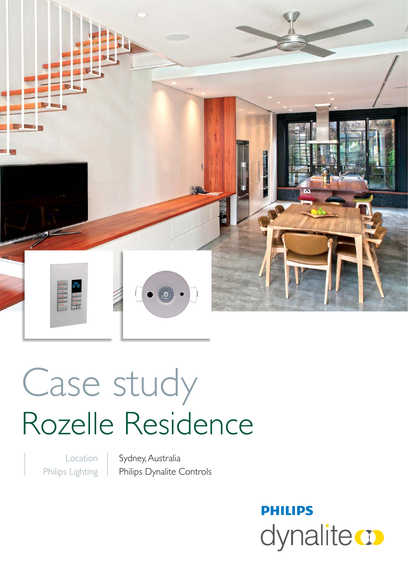

# Case study Rozelle Residence

Location Philips Lighting Sydney, Australia Philips Dynalite Controls

# **PHILIPS** dynalitect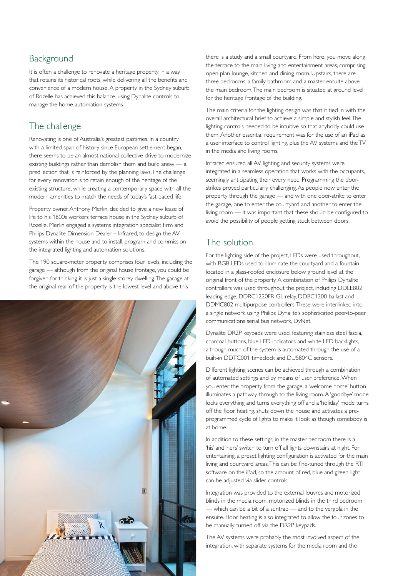# Background

It is often a challenge to renovate a heritage property in a way that retains its historical roots, while delivering all the benefits and convenience of a modern house. A property in the Sydney suburb of Rozelle has achieved this balance, using Dynalite controls to manage the home automation systems.

# The challenge

Renovating is one of Australia's greatest pastimes. In a country with a limited span of history since European settlement began, there seems to be an almost national collective drive to modernize existing buildings rather than demolish them and build anew — a predilection that is reinforced by the planning laws. The challenge for every renovator is to retain enough of the heritage of the existing structure, while creating a contemporary space with all the modern amenities to match the needs of today's fast-paced life.

Property owner, Anthony Merlin, decided to give a new lease of life to his 1800s workers terrace house in the Sydney suburb of Rozelle. Merlin engaged a systems integration specialist firm and Philips Dynalite Dimension Dealer – Infrared, to design the AV systems within the house and to install, program and commission the integrated lighting and automation solutions.

The 190 square-meter property comprises four levels, including the garage — although from the original house frontage, you could be forgiven for thinking it is just a single-storey dwelling. The garage at the original rear of the property is the lowest level and above this



there is a study and a small courtyard. From here, you move along the terrace to the main living and entertainment areas, comprising open plan lounge, kitchen and dining room. Upstairs, there are three bedrooms, a family bathroom and a master ensuite above the main bedroom. The main bedroom is situated at ground level for the heritage frontage of the building.

The main criteria for the lighting design was that it tied in with the overall architectural brief to achieve a simple and stylish feel. The lighting controls needed to be intuitive so that anybody could use them. Another essential requirement was for the use of an iPad as a user interface to control lighting, plus the AV systems and the TV in the media and living rooms.

Infrared ensured all AV, lighting and security systems were integrated in a seamless operation that works with the occupants, seemingly anticipating their every need. Programming the doorstrikes proved particularly challenging. As people now enter the property through the garage — and with one door-strike to enter the garage, one to enter the courtyard and another to enter the living room — it was important that these should be configured to avoid the possibility of people getting stuck between doors.

# The solution

For the lighting side of the project, LEDs were used throughout, with RGB LEDs used to illuminate the courtyard and a fountain located in a glass-roofed enclosure below ground level at the original front of the property. A combination of Philips Dynalite controllers was used throughout the project, including DDLE802 leading-edge, DDRC1220FR-GL relay, DDBC1200 ballast and DDMC802 multipurpose controllers. These were interlinked into a single network using Philips Dynalite's sophisticated peer-to-peer communications serial bus network, DyNet.

Dynalite DR2P keypads were used, featuring stainless steel fascia, charcoal buttons, blue LED indicators and white LED backlights, although much of the system is automated through the use of a built-in DDTC001 timeclock and DUS804C sensors.

Different lighting scenes can be achieved through a combination of automated settings and by means of user preference. When you enter the property from the garage, a 'welcome home' button illuminates a pathway through to the living room. A 'goodbye' mode locks everything and turns everything off and a 'holiday' mode turns off the floor heating, shuts down the house and activates a preprogrammed cycle of lights to make it look as though somebody is at home.

In addition to these settings, in the master bedroom there is a 'his' and 'hers' switch to turn off all lights downstairs at night. For entertaining, a preset lighting configuration is activated for the main living and courtyard areas. This can be fine-tuned through the RTI software on the iPad, so the amount of red, blue and green light can be adjusted via slider controls.

Integration was provided to the external louvres and motorized blinds in the media room, motorized blinds in the third bedroom — which can be a bit of a suntrap — and to the vergola in the ensuite. Floor heating is also integrated to allow the four zones to be manually turned off via the DR2P keypads.

The AV systems were probably the most involved aspect of the integration, with separate systems for the media room and the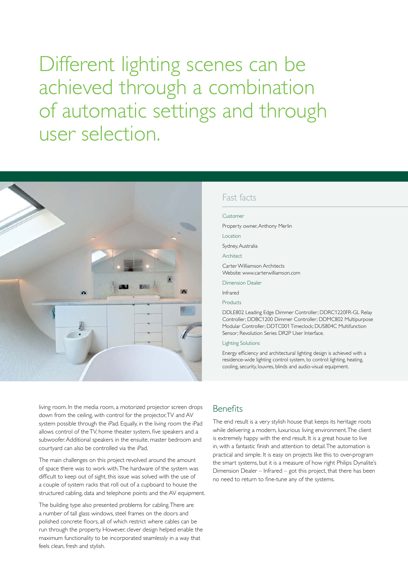Different lighting scenes can be achieved through a combination of automatic settings and through user selection.



### Fast facts

#### Customer

Property owner, Anthony Merlin

Location Sydney, Australia

#### **Architect**

Carter Williamson Architects Website: www.carterwilliamson.com

Dimension Dealer

Infrared

Products

DDLE802 Leading Edge Dimmer Controller; DDRC1220FR-GL Relay Controller; DDBC1200 Dimmer Controller; DDMC802 Multipurpose Modular Controller; DDTC001 Timeclock; DUS804C Multifunction Sensor; Revolution Series DR2P User Interface.

#### Lighting Solutions

Energy efficiency and architectural lighting design is achieved with a residence-wide lighting control system, to control: lighting, heating, cooling, security, louvres, blinds and audio-visual equipment.

living room. In the media room, a motorized projector screen drops down from the ceiling, with control for the projector, TV and AV system possible through the iPad. Equally, in the living room the iPad allows control of the TV, home theater system, five speakers and a subwoofer. Additional speakers in the ensuite, master bedroom and courtyard can also be controlled via the iPad.

The main challenges on this project revolved around the amount of space there was to work with. The hardware of the system was difficult to keep out of sight, this issue was solved with the use of a couple of system racks that roll out of a cupboard to house the structured cabling, data and telephone points and the AV equipment.

The building type also presented problems for cabling. There are a number of tall glass windows, steel frames on the doors and polished concrete floors, all of which restrict where cables can be run through the property. However, clever design helped enable the maximum functionality to be incorporated seamlessly in a way that feels clean, fresh and stylish.

# **Benefits**

The end result is a very stylish house that keeps its heritage roots while delivering a modern, luxurious living environment. The client is extremely happy with the end result. It is a great house to live in, with a fantastic finish and attention to detail. The automation is practical and simple. It is easy on projects like this to over-program the smart systems, but it is a measure of how right Philips Dynalite's Dimension Dealer – Infrared – got this project, that there has been no need to return to fine-tune any of the systems.